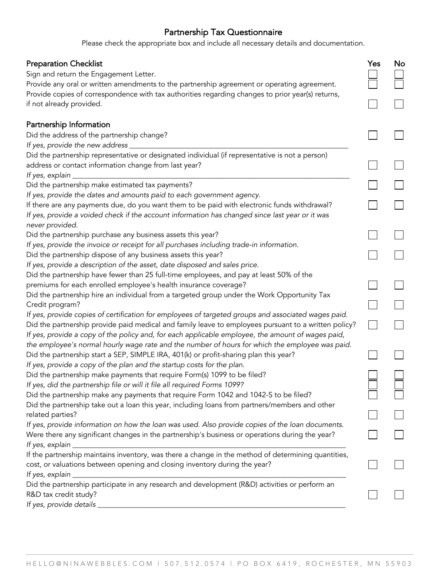## Partnership Tax Questionnaire

Please check the appropriate box and include all necessary details and documentation.

| <b>Preparation Checklist</b>                                                                                                  | Yes | No |
|-------------------------------------------------------------------------------------------------------------------------------|-----|----|
| Sign and return the Engagement Letter.                                                                                        |     |    |
| Provide any oral or written amendments to the partnership agreement or operating agreement.                                   |     |    |
| Provide copies of correspondence with tax authorities regarding changes to prior year(s) returns,<br>if not already provided. |     |    |
| Partnership Information                                                                                                       |     |    |
| Did the address of the partnership change?                                                                                    |     |    |
| If yes, provide the new address                                                                                               |     |    |
| Did the partnership representative or designated individual (if representative is not a person)                               |     |    |
| address or contact information change from last year?                                                                         |     |    |
| If yes, explain _                                                                                                             |     |    |
| Did the partnership make estimated tax payments?<br>If yes, provide the dates and amounts paid to each government agency.     |     |    |
| If there are any payments due, do you want them to be paid with electronic funds withdrawal?                                  |     |    |
| If yes, provide a voided check if the account information has changed since last year or it was                               |     |    |
| never provided.                                                                                                               |     |    |
| Did the partnership purchase any business assets this year?                                                                   |     |    |
| If yes, provide the invoice or receipt for all purchases including trade-in information.                                      |     |    |
| Did the partnership dispose of any business assets this year?                                                                 |     |    |
| If yes, provide a description of the asset, date disposed and sales price.                                                    |     |    |
| Did the partnership have fewer than 25 full-time employees, and pay at least 50% of the                                       |     |    |
| premiums for each enrolled employee's health insurance coverage?                                                              |     |    |
| Did the partnership hire an individual from a targeted group under the Work Opportunity Tax                                   |     |    |
| Credit program?                                                                                                               |     |    |
| If yes, provide copies of certification for employees of targeted groups and associated wages paid.                           |     |    |
| Did the partnership provide paid medical and family leave to employees pursuant to a written policy?                          |     |    |
| If yes, provide a copy of the policy and, for each applicable employee, the amount of wages paid,                             |     |    |
| the employee's normal hourly wage rate and the number of hours for which the employee was paid.                               |     |    |
| Did the partnership start a SEP, SIMPLE IRA, 401(k) or profit-sharing plan this year?                                         |     |    |
| If yes, provide a copy of the plan and the startup costs for the plan.                                                        |     |    |
| Did the partnership make payments that require Form(s) 1099 to be filed?                                                      |     |    |
| If yes, did the partnership file or will it file all required Forms 1099?                                                     |     |    |
| Did the partnership make any payments that require Form 1042 and 1042-S to be filed?                                          |     |    |
| Did the partnership take out a loan this year, including loans from partners/members and other                                |     |    |
| related parties?<br>If yes, provide information on how the loan was used. Also provide copies of the loan documents.          |     |    |
| Were there any significant changes in the partnership's business or operations during the year?                               |     |    |
| If yes, explain                                                                                                               |     |    |
| If the partnership maintains inventory, was there a change in the method of determining quantities,                           |     |    |
| cost, or valuations between opening and closing inventory during the year?                                                    |     |    |
| If yes, explain                                                                                                               |     |    |
| Did the partnership participate in any research and development (R&D) activities or perform an                                |     |    |
| R&D tax credit study?                                                                                                         |     |    |
| If yes, provide details                                                                                                       |     |    |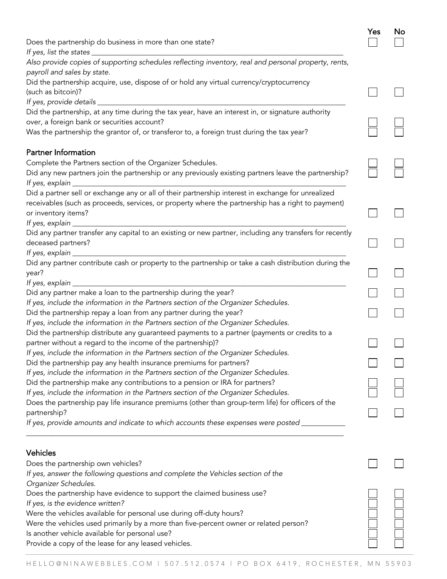| Does the partnership do business in more than one state?                                                                                                            | Yes | No |
|---------------------------------------------------------------------------------------------------------------------------------------------------------------------|-----|----|
| If yes, list the states _____                                                                                                                                       |     |    |
| Also provide copies of supporting schedules reflecting inventory, real and personal property, rents,<br>payroll and sales by state.                                 |     |    |
| Did the partnership acquire, use, dispose of or hold any virtual currency/cryptocurrency                                                                            |     |    |
| (such as bitcoin)?                                                                                                                                                  |     |    |
|                                                                                                                                                                     |     |    |
| Did the partnership, at any time during the tax year, have an interest in, or signature authority                                                                   |     |    |
| over, a foreign bank or securities account?                                                                                                                         |     |    |
| Was the partnership the grantor of, or transferor to, a foreign trust during the tax year?                                                                          |     |    |
| <b>Partner Information</b>                                                                                                                                          |     |    |
| Complete the Partners section of the Organizer Schedules.                                                                                                           |     |    |
| Did any new partners join the partnership or any previously existing partners leave the partnership?                                                                |     |    |
| Did a partner sell or exchange any or all of their partnership interest in exchange for unrealized                                                                  |     |    |
| receivables (such as proceeds, services, or property where the partnership has a right to payment)                                                                  |     |    |
| or inventory items?                                                                                                                                                 |     |    |
| If yes, explain _                                                                                                                                                   |     |    |
| Did any partner transfer any capital to an existing or new partner, including any transfers for recently                                                            |     |    |
| deceased partners?                                                                                                                                                  |     |    |
|                                                                                                                                                                     |     |    |
| Did any partner contribute cash or property to the partnership or take a cash distribution during the                                                               |     |    |
| year?                                                                                                                                                               |     |    |
| If yes, explain _                                                                                                                                                   |     |    |
| Did any partner make a loan to the partnership during the year?                                                                                                     |     |    |
| If yes, include the information in the Partners section of the Organizer Schedules.                                                                                 |     |    |
| Did the partnership repay a loan from any partner during the year?                                                                                                  |     |    |
| If yes, include the information in the Partners section of the Organizer Schedules.                                                                                 |     |    |
| Did the partnership distribute any guaranteed payments to a partner (payments or credits to a                                                                       |     |    |
| partner without a regard to the income of the partnership)?                                                                                                         |     |    |
| If yes, include the information in the Partners section of the Organizer Schedules.                                                                                 |     |    |
| Did the partnership pay any health insurance premiums for partners?<br>If yes, include the information in the Partners section of the Organizer Schedules.          |     |    |
|                                                                                                                                                                     |     |    |
| Did the partnership make any contributions to a pension or IRA for partners?<br>If yes, include the information in the Partners section of the Organizer Schedules. |     |    |
| Does the partnership pay life insurance premiums (other than group-term life) for officers of the                                                                   |     |    |
| partnership?                                                                                                                                                        |     |    |
| If yes, provide amounts and indicate to which accounts these expenses were posted _____                                                                             |     |    |
|                                                                                                                                                                     |     |    |
| <b>Vehicles</b>                                                                                                                                                     |     |    |
| Does the partnership own vehicles?                                                                                                                                  |     |    |
| If yes, answer the following questions and complete the Vehicles section of the                                                                                     |     |    |
| Organizer Schedules.                                                                                                                                                |     |    |
| Does the partnership have evidence to support the claimed business use?                                                                                             |     |    |
| If yes, is the evidence written?                                                                                                                                    |     |    |
| Were the vehicles available for personal use during off-duty hours?                                                                                                 |     |    |
| Were the vehicles used primarily by a more than five-percent owner or related person?                                                                               |     |    |
| Is another vehicle available for personal use?                                                                                                                      |     |    |
| Provide a copy of the lease for any leased vehicles.                                                                                                                |     |    |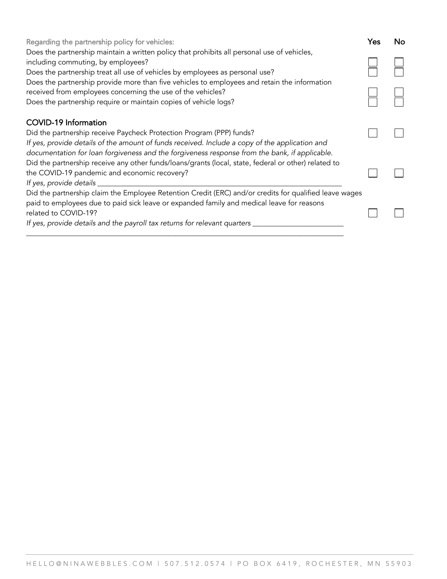| Regarding the partnership policy for vehicles:                                                                                                                                                                                                                                                             | Yes | No |
|------------------------------------------------------------------------------------------------------------------------------------------------------------------------------------------------------------------------------------------------------------------------------------------------------------|-----|----|
| Does the partnership maintain a written policy that prohibits all personal use of vehicles,<br>including commuting, by employees?<br>Does the partnership treat all use of vehicles by employees as personal use?                                                                                          |     |    |
| Does the partnership provide more than five vehicles to employees and retain the information<br>received from employees concerning the use of the vehicles?<br>Does the partnership require or maintain copies of vehicle logs?                                                                            |     |    |
| <b>COVID-19 Information</b><br>Did the partnership receive Paycheck Protection Program (PPP) funds?<br>If yes, provide details of the amount of funds received. Include a copy of the application and<br>documentation for loan forgiveness and the forgiveness response from the bank, if applicable.     |     |    |
| Did the partnership receive any other funds/loans/grants (local, state, federal or other) related to<br>the COVID-19 pandemic and economic recovery?<br>If yes, provide details                                                                                                                            |     |    |
| Did the partnership claim the Employee Retention Credit (ERC) and/or credits for qualified leave wages<br>paid to employees due to paid sick leave or expanded family and medical leave for reasons<br>related to COVID-19?<br>If yes, provide details and the payroll tax returns for relevant quarters _ |     |    |